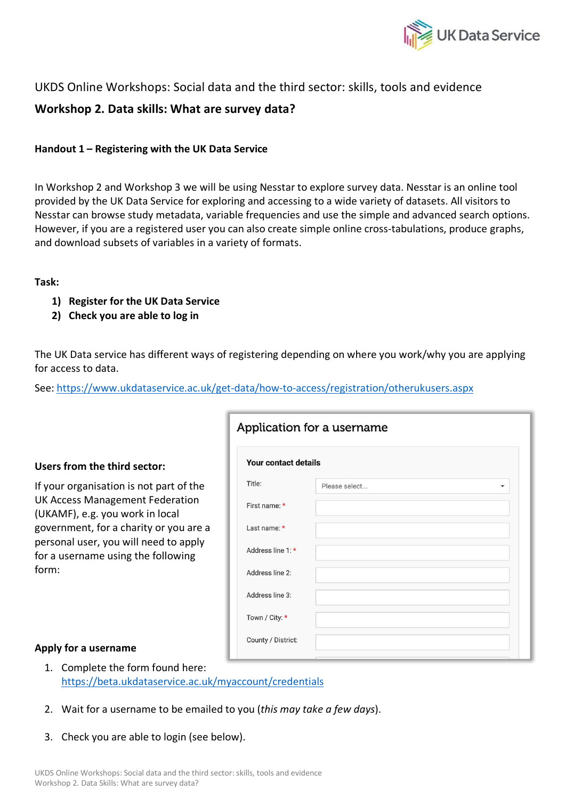

## UKDS Online Workshops: Social data and the third sector: skills, tools and evidence

# **Workshop 2. Data skills: What are survey data?**

## **Handout 1 – Registering with the UK Data Service**

In Workshop 2 and Workshop 3 we will be using Nesstar to explore survey data. Nesstar is an online tool provided by the UK Data Service for exploring and accessing to a wide variety of datasets. All visitors to Nesstar can browse study metadata, variable frequencies and use the simple and advanced search options. However, if you are a registered user you can also create simple online cross-tabulations, produce graphs, and download subsets of variables in a variety of formats.

### **Task:**

- **1) Register for the UK Data Service**
- **2) Check you are able to log in**

The UK Data service has different ways of registering depending on where you work/why you are applying for access to data.

See: https://www.ukdataservice.ac.uk/get-data/how-to-access/registration/otherukusers.aspx

### **Users from the third sector:**

If your organisation is not part of the UK Access Management Federation (UKAMF), e.g. you work in local government, for a charity or you are a personal user, you will need to apply for a username using the following form:

|                             | Application for a username |   |
|-----------------------------|----------------------------|---|
| <b>Your contact details</b> |                            |   |
| Title:                      | Please select              | ▼ |
| First name: *               |                            |   |
| Last name: *                |                            |   |
| Address line 1:*            |                            |   |
| Address line 2:             |                            |   |
| Address line 3:             |                            |   |
| Town / City: *              |                            |   |
| County / District:          |                            |   |
|                             |                            |   |

### **Apply for a username**

- 1. Complete the form found here: https://beta.ukdataservice.ac.uk/myaccount/credentials
- 2. Wait for a username to be emailed to you (*this may take a few days*).
- 3. Check you are able to login (see below).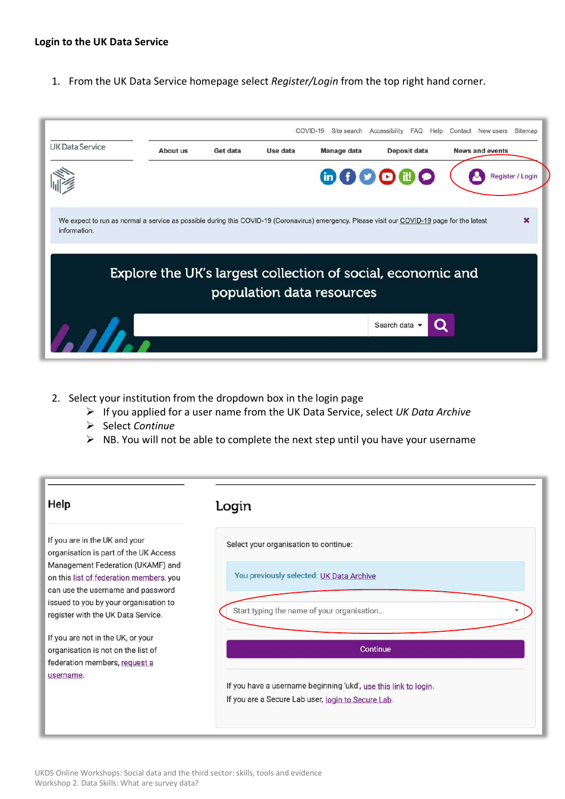#### **Login to the UK Data Service**

1. From the UK Data Service homepage select *Register/Login* from the top right hand corner.

|                                                                                                                                                              |          |          |          | COVID-19<br>Site search                                     | Accessibility<br><b>FAQ</b><br>Help | New users<br>Sitemap<br>Contact |
|--------------------------------------------------------------------------------------------------------------------------------------------------------------|----------|----------|----------|-------------------------------------------------------------|-------------------------------------|---------------------------------|
| <b>UK Data Service</b>                                                                                                                                       | About us | Get data | Use data | Manage data                                                 | Deposit data                        | <b>News and events</b>          |
|                                                                                                                                                              |          |          |          |                                                             | 600000                              | Register / Login                |
| We expect to run as normal a service as possible during this COVID-19 (Coronavirus) emergency. Please visit our COVID-19 page for the latest<br>information. |          |          |          |                                                             |                                     | $\mathbf x$                     |
|                                                                                                                                                              |          |          |          | Explore the UK's largest collection of social, economic and |                                     |                                 |
|                                                                                                                                                              |          |          |          | population data resources                                   |                                     |                                 |
|                                                                                                                                                              |          |          |          |                                                             | Search data                         |                                 |
|                                                                                                                                                              |          |          |          |                                                             |                                     |                                 |

- 2. Select your institution from the dropdown box in the login page
	- Ø If you applied for a user name from the UK Data Service, select *UK Data Archive*
	- Ø Select *Continue*
	- $\triangleright$  NB. You will not be able to complete the next step until you have your username

| Help                                                                                                              | Login                                                                                                                 |
|-------------------------------------------------------------------------------------------------------------------|-----------------------------------------------------------------------------------------------------------------------|
| If you are in the UK and your<br>organisation is part of the UK Access                                            | Select your organisation to continue:                                                                                 |
| Management Federation (UKAMF) and<br>on this list of federation members, you<br>can use the username and password | You previously selected: UK Data Archive                                                                              |
| issued to you by your organisation to<br>register with the UK Data Service.                                       | Start typing the name of your organisation                                                                            |
| If you are not in the UK, or your<br>organisation is not on the list of<br>federation members, request a          | Continue                                                                                                              |
| username.                                                                                                         | If you have a username beginning 'ukd', use this link to login.<br>If you are a Secure Lab user, login to Secure Lab. |